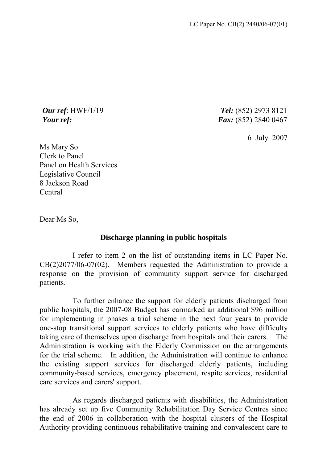*Our ref*: HWF/1/19 *Tel:* (852) 2973 8121 *Your ref: Fax:* (852) 2840 0467

6 July 2007

Ms Mary So Clerk to Panel Panel on Health Services Legislative Council 8 Jackson Road Central

Dear Ms So,

## **Discharge planning in public hospitals**

 I refer to item 2 on the list of outstanding items in LC Paper No. CB(2)2077/06-07(02). Members requested the Administration to provide a response on the provision of community support service for discharged patients.

 To further enhance the support for elderly patients discharged from public hospitals, the 2007-08 Budget has earmarked an additional \$96 million for implementing in phases a trial scheme in the next four years to provide one-stop transitional support services to elderly patients who have difficulty taking care of themselves upon discharge from hospitals and their carers. The Administration is working with the Elderly Commission on the arrangements for the trial scheme. In addition, the Administration will continue to enhance the existing support services for discharged elderly patients, including community-based services, emergency placement, respite services, residential care services and carers' support.

 As regards discharged patients with disabilities, the Administration has already set up five Community Rehabilitation Day Service Centres since the end of 2006 in collaboration with the hospital clusters of the Hospital Authority providing continuous rehabilitative training and convalescent care to